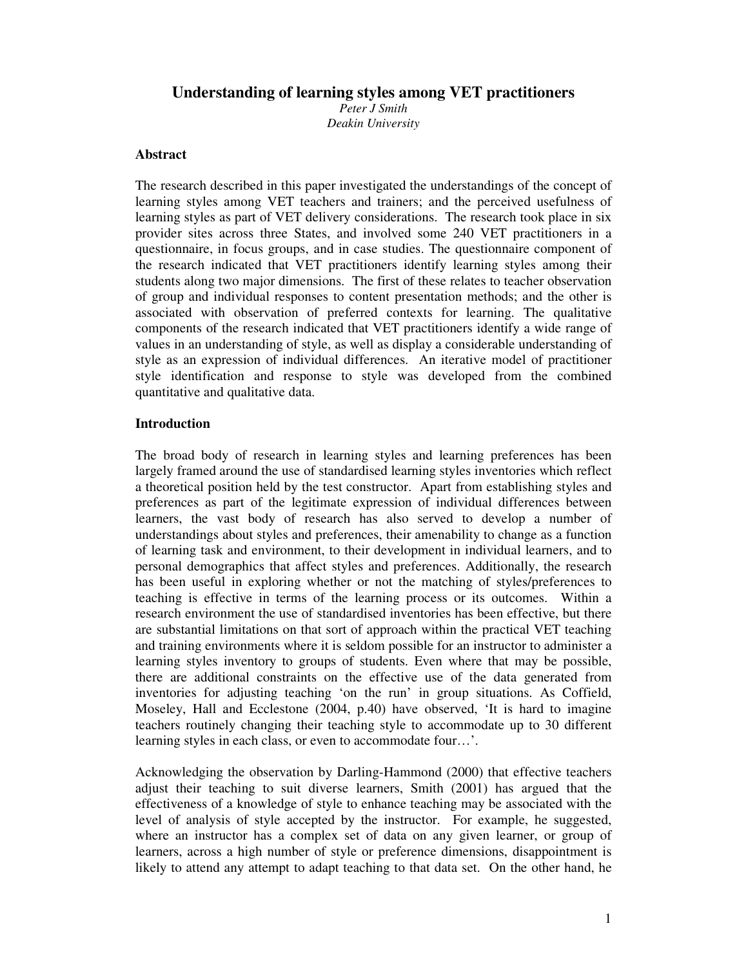# **Understanding of learning styles among VET practitioners**

*Peter J Smith Deakin University*

# **Abstract**

The research described in this paper investigated the understandings of the concept of learning styles among VET teachers and trainers; and the perceived usefulness of learning styles as part of VET delivery considerations. The research took place in six provider sites across three States, and involved some 240 VET practitioners in a questionnaire, in focus groups, and in case studies. The questionnaire component of the research indicated that VET practitioners identify learning styles among their students along two major dimensions. The first of these relates to teacher observation of group and individual responses to content presentation methods; and the other is associated with observation of preferred contexts for learning. The qualitative components of the research indicated that VET practitioners identify a wide range of values in an understanding of style, as well as display a considerable understanding of style as an expression of individual differences. An iterative model of practitioner style identification and response to style was developed from the combined quantitative and qualitative data.

### **Introduction**

The broad body of research in learning styles and learning preferences has been largely framed around the use of standardised learning styles inventories which reflect a theoretical position held by the test constructor. Apart from establishing styles and preferences as part of the legitimate expression of individual differences between learners, the vast body of research has also served to develop a number of understandings about styles and preferences, their amenability to change as a function of learning task and environment, to their development in individual learners, and to personal demographics that affect styles and preferences. Additionally, the research has been useful in exploring whether or not the matching of styles/preferences to teaching is effective in terms of the learning process or its outcomes. Within a research environment the use of standardised inventories has been effective, but there are substantial limitations on that sort of approach within the practical VET teaching and training environments where it is seldom possible for an instructor to administer a learning styles inventory to groups of students. Even where that may be possible, there are additional constraints on the effective use of the data generated from inventories for adjusting teaching 'on the run' in group situations. As Coffield, Moseley, Hall and Ecclestone (2004, p.40) have observed, 'It is hard to imagine teachers routinely changing their teaching style to accommodate up to 30 different learning styles in each class, or even to accommodate four…'.

Acknowledging the observation by Darling-Hammond (2000) that effective teachers adjust their teaching to suit diverse learners, Smith (2001) has argued that the effectiveness of a knowledge of style to enhance teaching may be associated with the level of analysis of style accepted by the instructor. For example, he suggested, where an instructor has a complex set of data on any given learner, or group of learners, across a high number of style or preference dimensions, disappointment is likely to attend any attempt to adapt teaching to that data set. On the other hand, he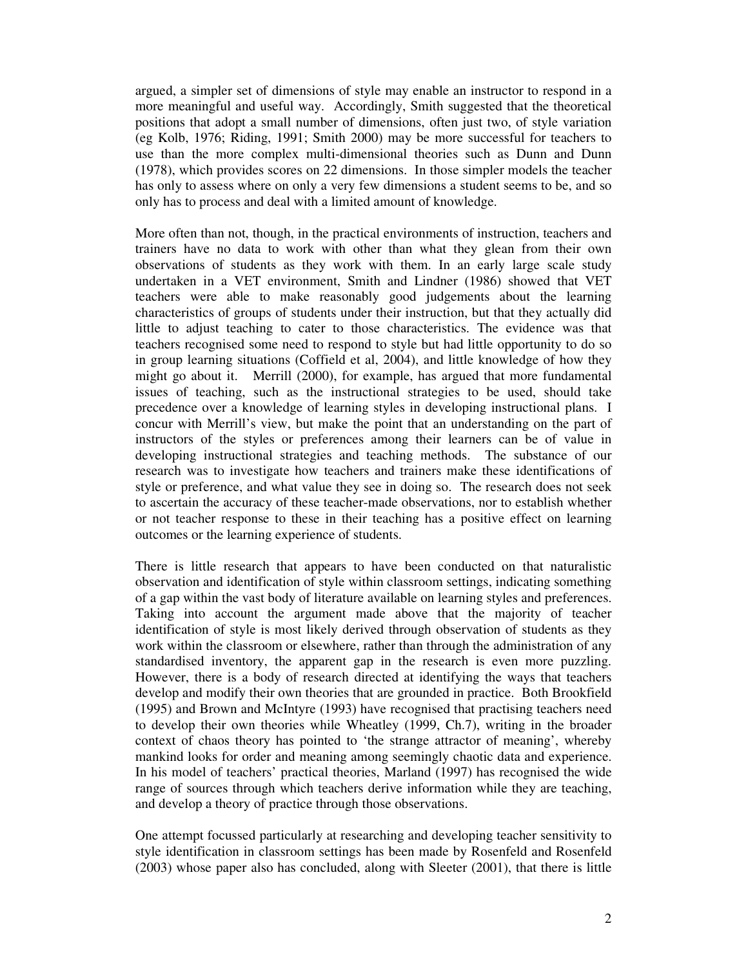argued, a simpler set of dimensions of style may enable an instructor to respond in a more meaningful and useful way. Accordingly, Smith suggested that the theoretical positions that adopt a small number of dimensions, often just two, of style variation (eg Kolb, 1976; Riding, 1991; Smith 2000) may be more successful for teachers to use than the more complex multi-dimensional theories such as Dunn and Dunn (1978), which provides scores on 22 dimensions. In those simpler models the teacher has only to assess where on only a very few dimensions a student seems to be, and so only has to process and deal with a limited amount of knowledge.

More often than not, though, in the practical environments of instruction, teachers and trainers have no data to work with other than what they glean from their own observations of students as they work with them. In an early large scale study undertaken in a VET environment, Smith and Lindner (1986) showed that VET teachers were able to make reasonably good judgements about the learning characteristics of groups of students under their instruction, but that they actually did little to adjust teaching to cater to those characteristics. The evidence was that teachers recognised some need to respond to style but had little opportunity to do so in group learning situations (Coffield et al, 2004), and little knowledge of how they might go about it. Merrill (2000), for example, has argued that more fundamental issues of teaching, such as the instructional strategies to be used, should take precedence over a knowledge of learning styles in developing instructional plans. I concur with Merrill's view, but make the point that an understanding on the part of instructors of the styles or preferences among their learners can be of value in developing instructional strategies and teaching methods. The substance of our research was to investigate how teachers and trainers make these identifications of style or preference, and what value they see in doing so. The research does not seek to ascertain the accuracy of these teacher-made observations, nor to establish whether or not teacher response to these in their teaching has a positive effect on learning outcomes or the learning experience of students.

There is little research that appears to have been conducted on that naturalistic observation and identification of style within classroom settings, indicating something of a gap within the vast body of literature available on learning styles and preferences. Taking into account the argument made above that the majority of teacher identification of style is most likely derived through observation of students as they work within the classroom or elsewhere, rather than through the administration of any standardised inventory, the apparent gap in the research is even more puzzling. However, there is a body of research directed at identifying the ways that teachers develop and modify their own theories that are grounded in practice. Both Brookfield (1995) and Brown and McIntyre (1993) have recognised that practising teachers need to develop their own theories while Wheatley (1999, Ch.7), writing in the broader context of chaos theory has pointed to 'the strange attractor of meaning', whereby mankind looks for order and meaning among seemingly chaotic data and experience. In his model of teachers' practical theories, Marland (1997) has recognised the wide range of sources through which teachers derive information while they are teaching, and develop a theory of practice through those observations.

One attempt focussed particularly at researching and developing teacher sensitivity to style identification in classroom settings has been made by Rosenfeld and Rosenfeld (2003) whose paper also has concluded, along with Sleeter (2001), that there is little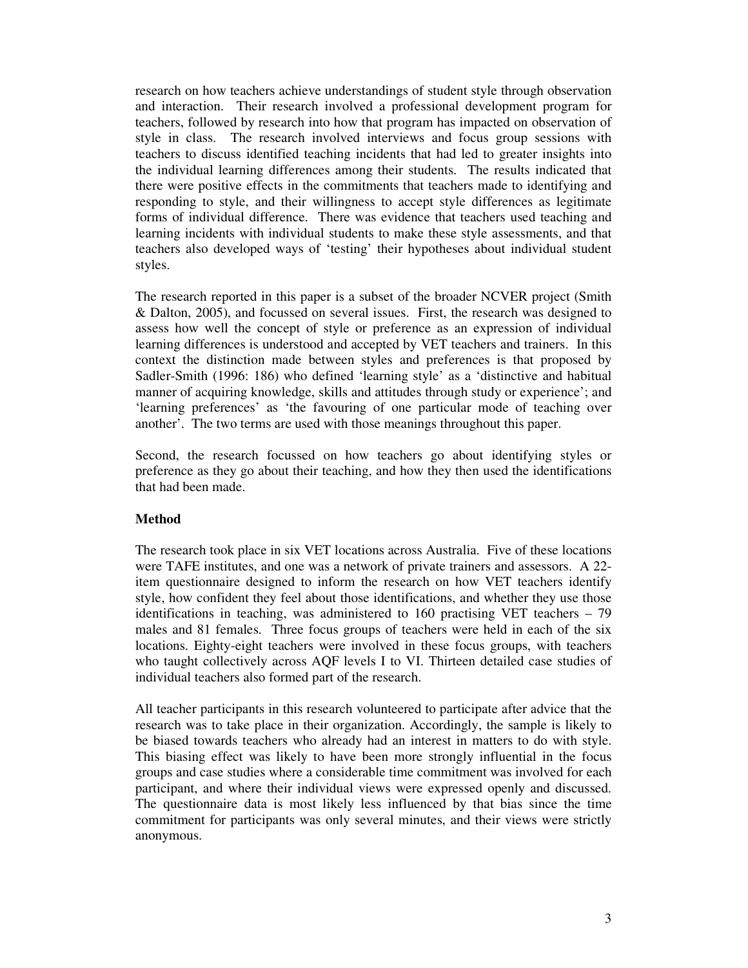research on how teachers achieve understandings of student style through observation and interaction. Their research involved a professional development program for teachers, followed by research into how that program has impacted on observation of style in class. The research involved interviews and focus group sessions with teachers to discuss identified teaching incidents that had led to greater insights into the individual learning differences among their students. The results indicated that there were positive effects in the commitments that teachers made to identifying and responding to style, and their willingness to accept style differences as legitimate forms of individual difference. There was evidence that teachers used teaching and learning incidents with individual students to make these style assessments, and that teachers also developed ways of 'testing' their hypotheses about individual student styles.

The research reported in this paper is a subset of the broader NCVER project (Smith & Dalton, 2005), and focussed on several issues. First, the research was designed to assess how well the concept of style or preference as an expression of individual learning differences is understood and accepted by VET teachers and trainers. In this context the distinction made between styles and preferences is that proposed by Sadler-Smith (1996: 186) who defined 'learning style' as a 'distinctive and habitual manner of acquiring knowledge, skills and attitudes through study or experience'; and 'learning preferences' as 'the favouring of one particular mode of teaching over another'. The two terms are used with those meanings throughout this paper.

Second, the research focussed on how teachers go about identifying styles or preference as they go about their teaching, and how they then used the identifications that had been made.

#### **Method**

The research took place in six VET locations across Australia. Five of these locations were TAFE institutes, and one was a network of private trainers and assessors. A 22 item questionnaire designed to inform the research on how VET teachers identify style, how confident they feel about those identifications, and whether they use those identifications in teaching, was administered to 160 practising VET teachers – 79 males and 81 females. Three focus groups of teachers were held in each of the six locations. Eighty-eight teachers were involved in these focus groups, with teachers who taught collectively across AQF levels I to VI. Thirteen detailed case studies of individual teachers also formed part of the research.

All teacher participants in this research volunteered to participate after advice that the research was to take place in their organization. Accordingly, the sample is likely to be biased towards teachers who already had an interest in matters to do with style. This biasing effect was likely to have been more strongly influential in the focus groups and case studies where a considerable time commitment was involved for each participant, and where their individual views were expressed openly and discussed. The questionnaire data is most likely less influenced by that bias since the time commitment for participants was only several minutes, and their views were strictly anonymous.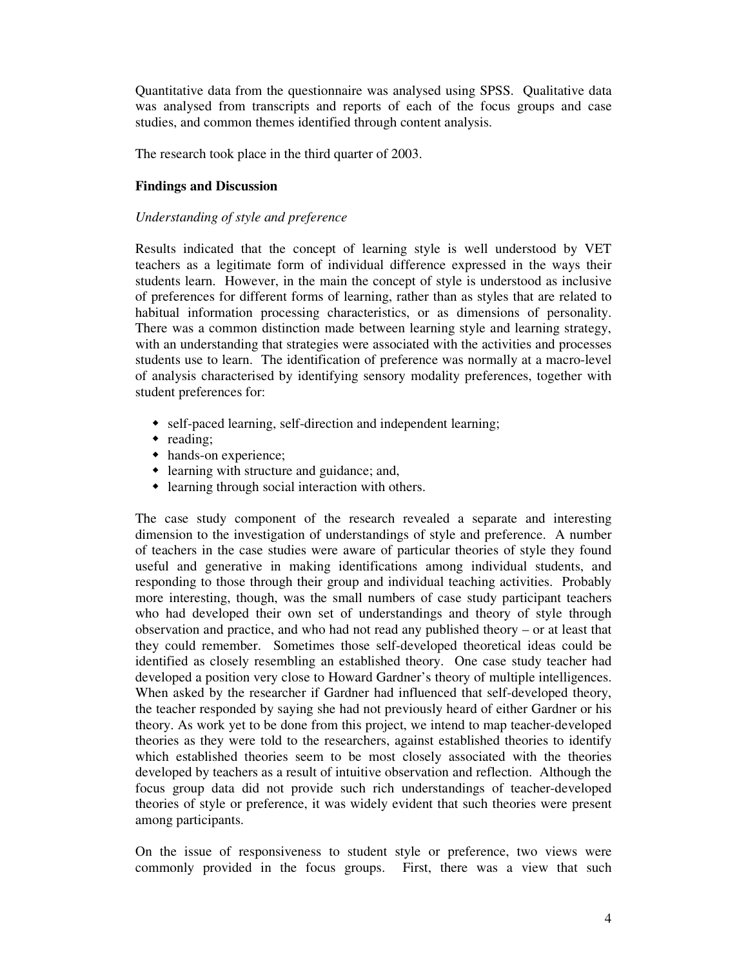Quantitative data from the questionnaire was analysed using SPSS. Qualitative data was analysed from transcripts and reports of each of the focus groups and case studies, and common themes identified through content analysis.

The research took place in the third quarter of 2003.

# **Findings and Discussion**

# *Understanding of style and preference*

Results indicated that the concept of learning style is well understood by VET teachers as a legitimate form of individual difference expressed in the ways their students learn. However, in the main the concept of style is understood as inclusive of preferences for different forms of learning, rather than as styles that are related to habitual information processing characteristics, or as dimensions of personality. There was a common distinction made between learning style and learning strategy, with an understanding that strategies were associated with the activities and processes students use to learn. The identification of preference was normally at a macro-level of analysis characterised by identifying sensory modality preferences, together with student preferences for:

- self-paced learning, self-direction and independent learning;
- reading:
- hands-on experience;
- learning with structure and guidance; and,
- learning through social interaction with others.

The case study component of the research revealed a separate and interesting dimension to the investigation of understandings of style and preference. A number of teachers in the case studies were aware of particular theories of style they found useful and generative in making identifications among individual students, and responding to those through their group and individual teaching activities. Probably more interesting, though, was the small numbers of case study participant teachers who had developed their own set of understandings and theory of style through observation and practice, and who had not read any published theory – or at least that they could remember. Sometimes those self-developed theoretical ideas could be identified as closely resembling an established theory. One case study teacher had developed a position very close to Howard Gardner's theory of multiple intelligences. When asked by the researcher if Gardner had influenced that self-developed theory, the teacher responded by saying she had not previously heard of either Gardner or his theory. As work yet to be done from this project, we intend to map teacher-developed theories as they were told to the researchers, against established theories to identify which established theories seem to be most closely associated with the theories developed by teachers as a result of intuitive observation and reflection. Although the focus group data did not provide such rich understandings of teacher-developed theories of style or preference, it was widely evident that such theories were present among participants.

On the issue of responsiveness to student style or preference, two views were commonly provided in the focus groups. First, there was a view that such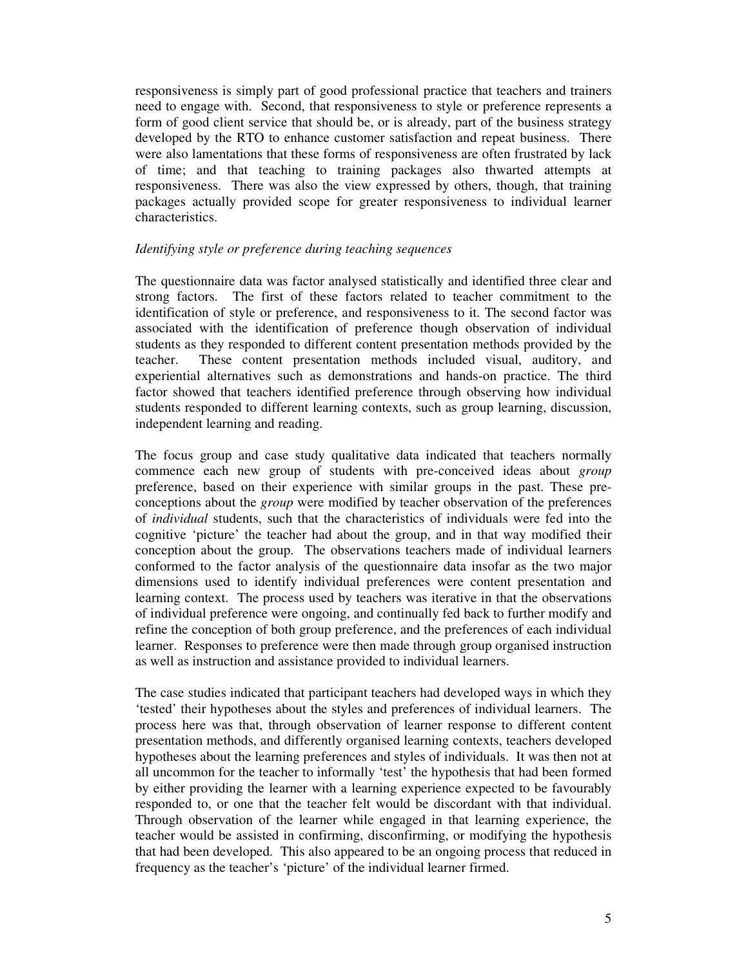responsiveness is simply part of good professional practice that teachers and trainers need to engage with. Second, that responsiveness to style or preference represents a form of good client service that should be, or is already, part of the business strategy developed by the RTO to enhance customer satisfaction and repeat business. There were also lamentations that these forms of responsiveness are often frustrated by lack of time; and that teaching to training packages also thwarted attempts at responsiveness. There was also the view expressed by others, though, that training packages actually provided scope for greater responsiveness to individual learner characteristics.

# *Identifying style or preference during teaching sequences*

The questionnaire data was factor analysed statistically and identified three clear and strong factors. The first of these factors related to teacher commitment to the identification of style or preference, and responsiveness to it. The second factor was associated with the identification of preference though observation of individual students as they responded to different content presentation methods provided by the teacher. These content presentation methods included visual, auditory, and experiential alternatives such as demonstrations and hands-on practice. The third factor showed that teachers identified preference through observing how individual students responded to different learning contexts, such as group learning, discussion, independent learning and reading.

The focus group and case study qualitative data indicated that teachers normally commence each new group of students with pre-conceived ideas about *group* preference, based on their experience with similar groups in the past. These preconceptions about the *group* were modified by teacher observation of the preferences of *individual* students, such that the characteristics of individuals were fed into the cognitive 'picture' the teacher had about the group, and in that way modified their conception about the group. The observations teachers made of individual learners conformed to the factor analysis of the questionnaire data insofar as the two major dimensions used to identify individual preferences were content presentation and learning context. The process used by teachers was iterative in that the observations of individual preference were ongoing, and continually fed back to further modify and refine the conception of both group preference, and the preferences of each individual learner. Responses to preference were then made through group organised instruction as well as instruction and assistance provided to individual learners.

The case studies indicated that participant teachers had developed ways in which they 'tested' their hypotheses about the styles and preferences of individual learners. The process here was that, through observation of learner response to different content presentation methods, and differently organised learning contexts, teachers developed hypotheses about the learning preferences and styles of individuals. It was then not at all uncommon for the teacher to informally 'test' the hypothesis that had been formed by either providing the learner with a learning experience expected to be favourably responded to, or one that the teacher felt would be discordant with that individual. Through observation of the learner while engaged in that learning experience, the teacher would be assisted in confirming, disconfirming, or modifying the hypothesis that had been developed. This also appeared to be an ongoing process that reduced in frequency as the teacher's 'picture' of the individual learner firmed.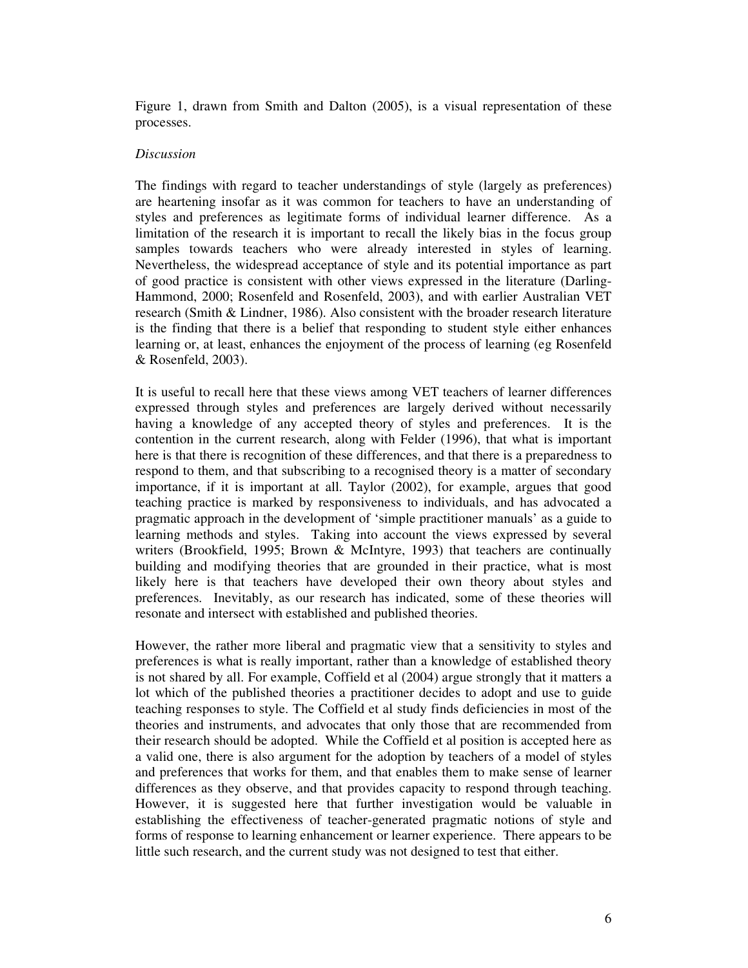Figure 1, drawn from Smith and Dalton (2005), is a visual representation of these processes.

#### *Discussion*

The findings with regard to teacher understandings of style (largely as preferences) are heartening insofar as it was common for teachers to have an understanding of styles and preferences as legitimate forms of individual learner difference. As a limitation of the research it is important to recall the likely bias in the focus group samples towards teachers who were already interested in styles of learning. Nevertheless, the widespread acceptance of style and its potential importance as part of good practice is consistent with other views expressed in the literature (Darling-Hammond, 2000; Rosenfeld and Rosenfeld, 2003), and with earlier Australian VET research (Smith & Lindner, 1986). Also consistent with the broader research literature is the finding that there is a belief that responding to student style either enhances learning or, at least, enhances the enjoyment of the process of learning (eg Rosenfeld & Rosenfeld, 2003).

It is useful to recall here that these views among VET teachers of learner differences expressed through styles and preferences are largely derived without necessarily having a knowledge of any accepted theory of styles and preferences. It is the contention in the current research, along with Felder (1996), that what is important here is that there is recognition of these differences, and that there is a preparedness to respond to them, and that subscribing to a recognised theory is a matter of secondary importance, if it is important at all. Taylor (2002), for example, argues that good teaching practice is marked by responsiveness to individuals, and has advocated a pragmatic approach in the development of 'simple practitioner manuals' as a guide to learning methods and styles. Taking into account the views expressed by several writers (Brookfield, 1995; Brown & McIntyre, 1993) that teachers are continually building and modifying theories that are grounded in their practice, what is most likely here is that teachers have developed their own theory about styles and preferences. Inevitably, as our research has indicated, some of these theories will resonate and intersect with established and published theories.

However, the rather more liberal and pragmatic view that a sensitivity to styles and preferences is what is really important, rather than a knowledge of established theory is not shared by all. For example, Coffield et al (2004) argue strongly that it matters a lot which of the published theories a practitioner decides to adopt and use to guide teaching responses to style. The Coffield et al study finds deficiencies in most of the theories and instruments, and advocates that only those that are recommended from their research should be adopted. While the Coffield et al position is accepted here as a valid one, there is also argument for the adoption by teachers of a model of styles and preferences that works for them, and that enables them to make sense of learner differences as they observe, and that provides capacity to respond through teaching. However, it is suggested here that further investigation would be valuable in establishing the effectiveness of teacher-generated pragmatic notions of style and forms of response to learning enhancement or learner experience. There appears to be little such research, and the current study was not designed to test that either.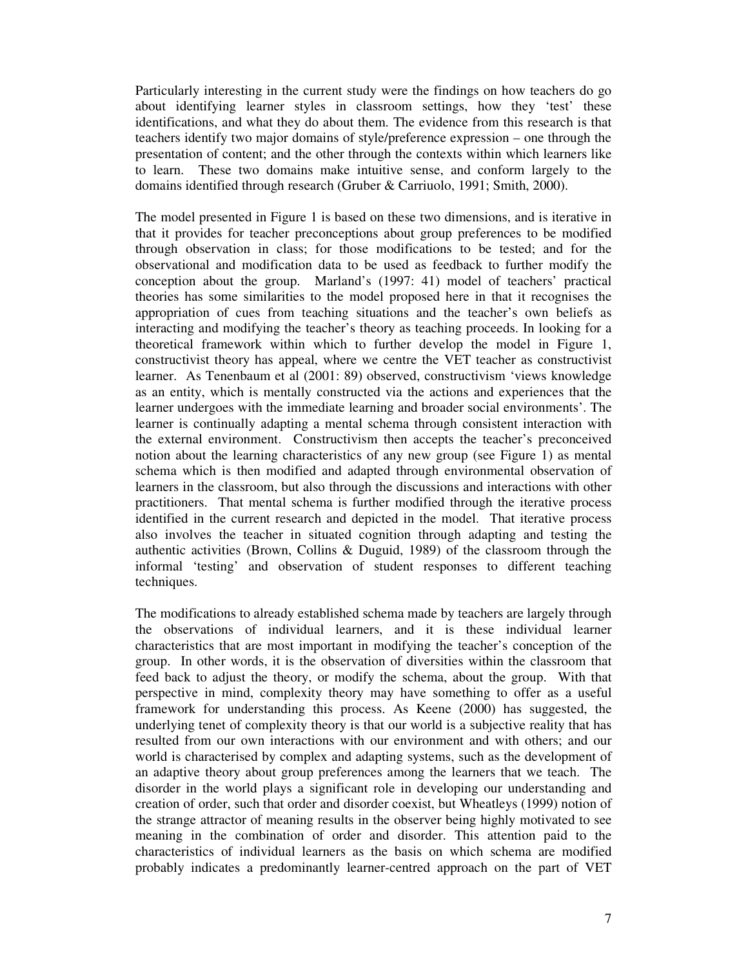Particularly interesting in the current study were the findings on how teachers do go about identifying learner styles in classroom settings, how they 'test' these identifications, and what they do about them. The evidence from this research is that teachers identify two major domains of style/preference expression – one through the presentation of content; and the other through the contexts within which learners like to learn. These two domains make intuitive sense, and conform largely to the domains identified through research (Gruber & Carriuolo, 1991; Smith, 2000).

The model presented in Figure 1 is based on these two dimensions, and is iterative in that it provides for teacher preconceptions about group preferences to be modified through observation in class; for those modifications to be tested; and for the observational and modification data to be used as feedback to further modify the conception about the group. Marland's (1997: 41) model of teachers' practical theories has some similarities to the model proposed here in that it recognises the appropriation of cues from teaching situations and the teacher's own beliefs as interacting and modifying the teacher's theory as teaching proceeds. In looking for a theoretical framework within which to further develop the model in Figure 1, constructivist theory has appeal, where we centre the VET teacher as constructivist learner. As Tenenbaum et al (2001: 89) observed, constructivism 'views knowledge as an entity, which is mentally constructed via the actions and experiences that the learner undergoes with the immediate learning and broader social environments'. The learner is continually adapting a mental schema through consistent interaction with the external environment. Constructivism then accepts the teacher's preconceived notion about the learning characteristics of any new group (see Figure 1) as mental schema which is then modified and adapted through environmental observation of learners in the classroom, but also through the discussions and interactions with other practitioners. That mental schema is further modified through the iterative process identified in the current research and depicted in the model. That iterative process also involves the teacher in situated cognition through adapting and testing the authentic activities (Brown, Collins & Duguid, 1989) of the classroom through the informal 'testing' and observation of student responses to different teaching techniques.

The modifications to already established schema made by teachers are largely through the observations of individual learners, and it is these individual learner characteristics that are most important in modifying the teacher's conception of the group. In other words, it is the observation of diversities within the classroom that feed back to adjust the theory, or modify the schema, about the group. With that perspective in mind, complexity theory may have something to offer as a useful framework for understanding this process. As Keene (2000) has suggested, the underlying tenet of complexity theory is that our world is a subjective reality that has resulted from our own interactions with our environment and with others; and our world is characterised by complex and adapting systems, such as the development of an adaptive theory about group preferences among the learners that we teach. The disorder in the world plays a significant role in developing our understanding and creation of order, such that order and disorder coexist, but Wheatleys (1999) notion of the strange attractor of meaning results in the observer being highly motivated to see meaning in the combination of order and disorder. This attention paid to the characteristics of individual learners as the basis on which schema are modified probably indicates a predominantly learner-centred approach on the part of VET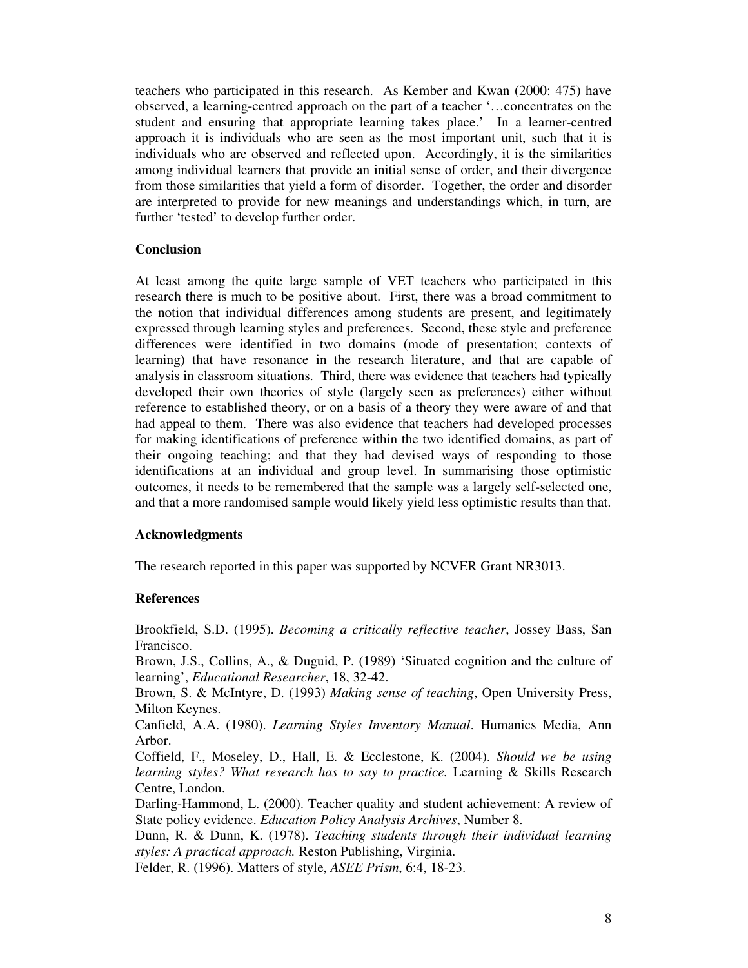teachers who participated in this research. As Kember and Kwan (2000: 475) have observed, a learning-centred approach on the part of a teacher '…concentrates on the student and ensuring that appropriate learning takes place.' In a learner-centred approach it is individuals who are seen as the most important unit, such that it is individuals who are observed and reflected upon. Accordingly, it is the similarities among individual learners that provide an initial sense of order, and their divergence from those similarities that yield a form of disorder. Together, the order and disorder are interpreted to provide for new meanings and understandings which, in turn, are further 'tested' to develop further order.

# **Conclusion**

At least among the quite large sample of VET teachers who participated in this research there is much to be positive about. First, there was a broad commitment to the notion that individual differences among students are present, and legitimately expressed through learning styles and preferences. Second, these style and preference differences were identified in two domains (mode of presentation; contexts of learning) that have resonance in the research literature, and that are capable of analysis in classroom situations. Third, there was evidence that teachers had typically developed their own theories of style (largely seen as preferences) either without reference to established theory, or on a basis of a theory they were aware of and that had appeal to them. There was also evidence that teachers had developed processes for making identifications of preference within the two identified domains, as part of their ongoing teaching; and that they had devised ways of responding to those identifications at an individual and group level. In summarising those optimistic outcomes, it needs to be remembered that the sample was a largely self-selected one, and that a more randomised sample would likely yield less optimistic results than that.

#### **Acknowledgments**

The research reported in this paper was supported by NCVER Grant NR3013.

#### **References**

Brookfield, S.D. (1995). *Becoming a critically reflective teacher*, Jossey Bass, San Francisco.

Brown, J.S., Collins, A., & Duguid, P. (1989) 'Situated cognition and the culture of learning', *Educational Researcher*, 18, 32-42.

Brown, S. & McIntyre, D. (1993) *Making sense of teaching*, Open University Press, Milton Keynes.

Canfield, A.A. (1980). *Learning Styles Inventory Manual*. Humanics Media, Ann Arbor.

Coffield, F., Moseley, D., Hall, E. & Ecclestone, K. (2004). *Should we be using learning styles? What research has to say to practice.* Learning & Skills Research Centre, London.

Darling-Hammond, L. (2000). Teacher quality and student achievement: A review of State policy evidence. *Education Policy Analysis Archives*, Number 8.

Dunn, R. & Dunn, K. (1978). *Teaching students through their individual learning styles: A practical approach.* Reston Publishing, Virginia.

Felder, R. (1996). Matters of style, *ASEE Prism*, 6:4, 18-23.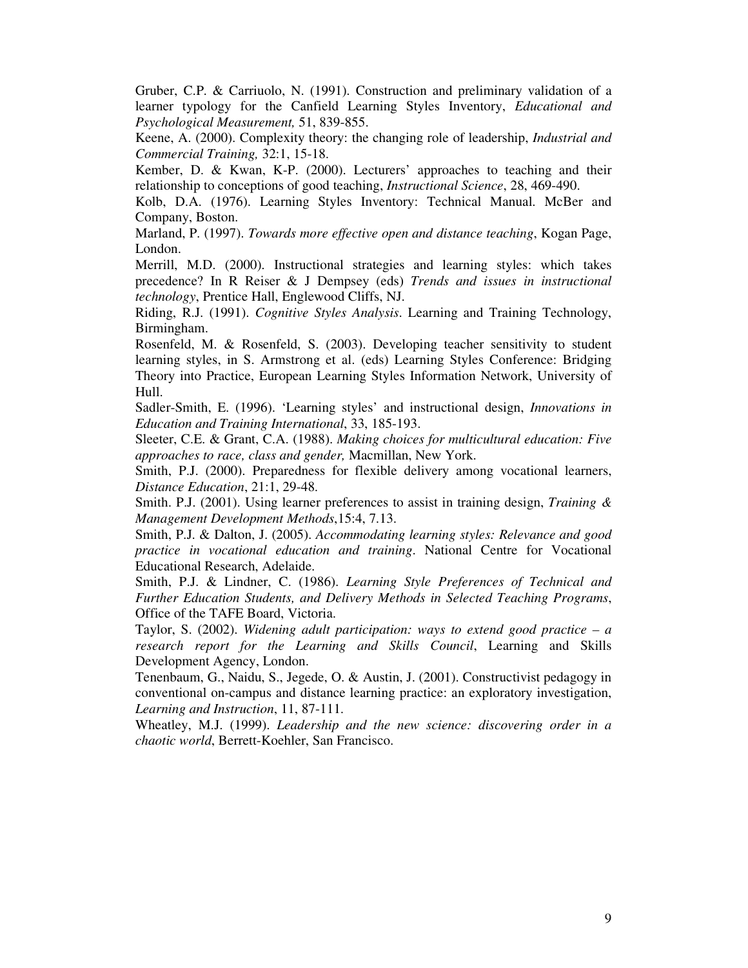Gruber, C.P. & Carriuolo, N. (1991). Construction and preliminary validation of a learner typology for the Canfield Learning Styles Inventory, *Educational and Psychological Measurement,* 51, 839-855.

Keene, A. (2000). Complexity theory: the changing role of leadership, *Industrial and Commercial Training,* 32:1, 15-18.

Kember, D. & Kwan, K-P. (2000). Lecturers' approaches to teaching and their relationship to conceptions of good teaching, *Instructional Science*, 28, 469-490.

Kolb, D.A. (1976). Learning Styles Inventory: Technical Manual. McBer and Company, Boston.

Marland, P. (1997). *Towards more effective open and distance teaching*, Kogan Page, London.

Merrill, M.D. (2000). Instructional strategies and learning styles: which takes precedence? In R Reiser & J Dempsey (eds) *Trends and issues in instructional technology*, Prentice Hall, Englewood Cliffs, NJ.

Riding, R.J. (1991). *Cognitive Styles Analysis*. Learning and Training Technology, Birmingham.

Rosenfeld, M. & Rosenfeld, S. (2003). Developing teacher sensitivity to student learning styles, in S. Armstrong et al. (eds) Learning Styles Conference: Bridging Theory into Practice, European Learning Styles Information Network, University of Hull.

Sadler-Smith, E. (1996). 'Learning styles' and instructional design, *Innovations in Education and Training International*, 33, 185-193.

Sleeter, C.E. & Grant, C.A. (1988). *Making choices for multicultural education: Five approaches to race, class and gender,* Macmillan, New York.

Smith, P.J. (2000). Preparedness for flexible delivery among vocational learners, *Distance Education*, 21:1, 29-48.

Smith. P.J. (2001). Using learner preferences to assist in training design, *Training & Management Development Methods*,15:4, 7.13.

Smith, P.J. & Dalton, J. (2005). *Accommodating learning styles: Relevance and good practice in vocational education and training*. National Centre for Vocational Educational Research, Adelaide.

Smith, P.J. & Lindner, C. (1986). *Learning Style Preferences of Technical and Further Education Students, and Delivery Methods in Selected Teaching Programs*, Office of the TAFE Board, Victoria.

Taylor, S. (2002). *Widening adult participation: ways to extend good practice – a research report for the Learning and Skills Council*, Learning and Skills Development Agency, London.

Tenenbaum, G., Naidu, S., Jegede, O. & Austin, J. (2001). Constructivist pedagogy in conventional on-campus and distance learning practice: an exploratory investigation, *Learning and Instruction*, 11, 87-111.

Wheatley, M.J. (1999). *Leadership and the new science: discovering order in a chaotic world*, Berrett-Koehler, San Francisco.